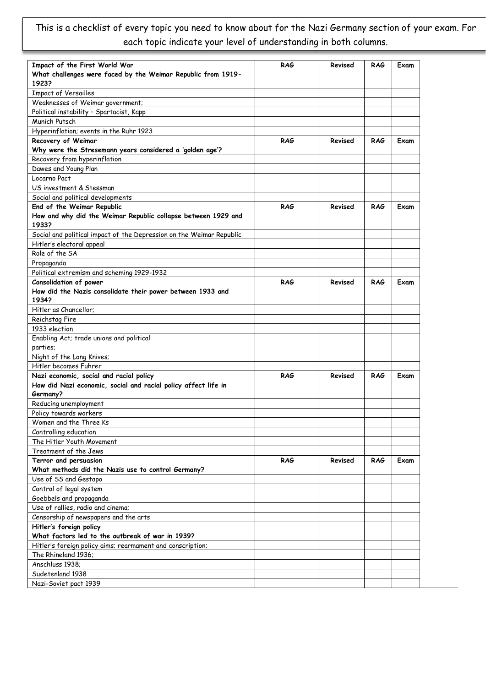## This is a checklist of every topic you need to know about for the Nazi Germany section of your exam. For each topic indicate your level of understanding in both columns.

| Impact of the First World War                                                                     | <b>RAG</b> | Revised | <b>RAG</b> | Exam |
|---------------------------------------------------------------------------------------------------|------------|---------|------------|------|
| What challenges were faced by the Weimar Republic from 1919-                                      |            |         |            |      |
| 1923?                                                                                             |            |         |            |      |
| <b>Impact of Versailles</b>                                                                       |            |         |            |      |
| Weaknesses of Weimar government;                                                                  |            |         |            |      |
| Political instability - Spartacist, Kapp                                                          |            |         |            |      |
| Munich Putsch                                                                                     |            |         |            |      |
| Hyperinflation; events in the Ruhr 1923                                                           |            |         |            |      |
| Recovery of Weimar                                                                                | <b>RAG</b> | Revised | <b>RAG</b> | Exam |
| Why were the Stresemann years considered a 'golden age'?                                          |            |         |            |      |
| Recovery from hyperinflation                                                                      |            |         |            |      |
| Dawes and Young Plan                                                                              |            |         |            |      |
| Locarno Pact                                                                                      |            |         |            |      |
|                                                                                                   |            |         |            |      |
| US investment & Stessman                                                                          |            |         |            |      |
| Social and political developments                                                                 |            |         |            |      |
| End of the Weimar Republic<br>How and why did the Weimar Republic collapse between 1929 and       | <b>RAG</b> | Revised | <b>RAG</b> | Exam |
| 1933?                                                                                             |            |         |            |      |
|                                                                                                   |            |         |            |      |
| Social and political impact of the Depression on the Weimar Republic<br>Hitler's electoral appeal |            |         |            |      |
|                                                                                                   |            |         |            |      |
| Role of the SA                                                                                    |            |         |            |      |
| Propaganda                                                                                        |            |         |            |      |
| Political extremism and scheming 1929-1932                                                        |            |         |            |      |
| Consolidation of power                                                                            | <b>RAG</b> | Revised | <b>RAG</b> | Exam |
| How did the Nazis consolidate their power between 1933 and<br>1934?                               |            |         |            |      |
| Hitler as Chancellor;                                                                             |            |         |            |      |
| Reichstag Fire                                                                                    |            |         |            |      |
| 1933 election                                                                                     |            |         |            |      |
| Enabling Act; trade unions and political                                                          |            |         |            |      |
| parties;                                                                                          |            |         |            |      |
| Night of the Long Knives;                                                                         |            |         |            |      |
| Hitler becomes Fuhrer                                                                             |            |         |            |      |
| Nazi economic, social and racial policy                                                           | <b>RAG</b> | Revised | <b>RAG</b> | Exam |
| How did Nazi economic, social and racial policy affect life in                                    |            |         |            |      |
| Germany?                                                                                          |            |         |            |      |
| Reducing unemployment                                                                             |            |         |            |      |
| Policy towards workers                                                                            |            |         |            |      |
| Women and the Three Ks                                                                            |            |         |            |      |
| Controlling education                                                                             |            |         |            |      |
| The Hitler Youth Movement                                                                         |            |         |            |      |
| Treatment of the Jews                                                                             |            |         |            |      |
| Terror and persuasion                                                                             | RAG        | Revised | RAG        | Exam |
| What methods did the Nazis use to control Germany?                                                |            |         |            |      |
|                                                                                                   |            |         |            |      |
| Use of SS and Gestapo<br>Control of legal system                                                  |            |         |            |      |
| Goebbels and propaganda                                                                           |            |         |            |      |
|                                                                                                   |            |         |            |      |
| Use of rallies, radio and cinema;                                                                 |            |         |            |      |
| Censorship of newspapers and the arts                                                             |            |         |            |      |
| Hitler's foreign policy                                                                           |            |         |            |      |
| What factors led to the outbreak of war in 1939?                                                  |            |         |            |      |
| Hitler's foreign policy aims; rearmament and conscription;                                        |            |         |            |      |
| The Rhineland 1936;                                                                               |            |         |            |      |
| Anschluss 1938;                                                                                   |            |         |            |      |
| Sudetenland 1938                                                                                  |            |         |            |      |
| Nazi-Soviet pact 1939                                                                             |            |         |            |      |